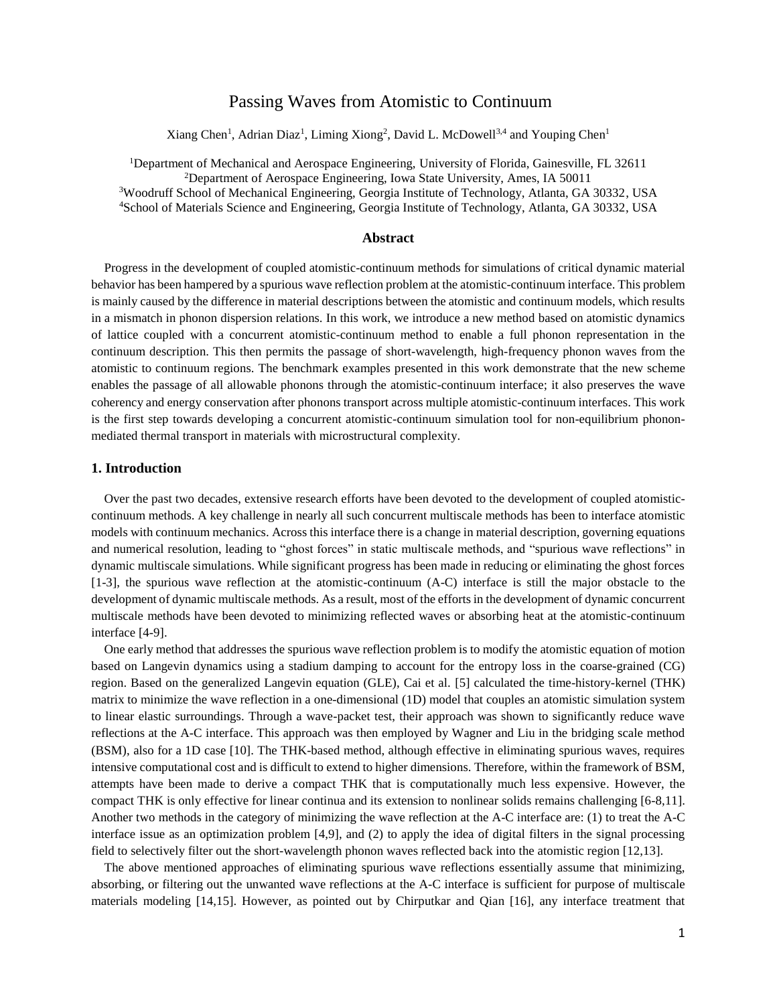# Passing Waves from Atomistic to Continuum

Xiang Chen<sup>1</sup>, Adrian Diaz<sup>1</sup>, Liming Xiong<sup>2</sup>, David L. McDowell<sup>3,4</sup> and Youping Chen<sup>1</sup>

Department of Mechanical and Aerospace Engineering, University of Florida, Gainesville, FL 32611 <sup>2</sup>Department of Aerospace Engineering, Iowa State University, Ames, IA 50011 Woodruff School of Mechanical Engineering, Georgia Institute of Technology, Atlanta, GA 30332, USA School of Materials Science and Engineering, Georgia Institute of Technology, Atlanta, GA 30332, USA

## **Abstract**

Progress in the development of coupled atomistic-continuum methods for simulations of critical dynamic material behavior has been hampered by a spurious wave reflection problem at the atomistic-continuum interface. This problem is mainly caused by the difference in material descriptions between the atomistic and continuum models, which results in a mismatch in phonon dispersion relations. In this work, we introduce a new method based on atomistic dynamics of lattice coupled with a concurrent atomistic-continuum method to enable a full phonon representation in the continuum description. This then permits the passage of short-wavelength, high-frequency phonon waves from the atomistic to continuum regions. The benchmark examples presented in this work demonstrate that the new scheme enables the passage of all allowable phonons through the atomistic-continuum interface; it also preserves the wave coherency and energy conservation after phonons transport across multiple atomistic-continuum interfaces. This work is the first step towards developing a concurrent atomistic-continuum simulation tool for non-equilibrium phononmediated thermal transport in materials with microstructural complexity.

## **1. Introduction**

Over the past two decades, extensive research efforts have been devoted to the development of coupled atomisticcontinuum methods. A key challenge in nearly all such concurrent multiscale methods has been to interface atomistic models with continuum mechanics. Across this interface there is a change in material description, governing equations and numerical resolution, leading to "ghost forces" in static multiscale methods, and "spurious wave reflections" in dynamic multiscale simulations. While significant progress has been made in reducing or eliminating the ghost forces [\[1-3\]](#page-10-0), the spurious wave reflection at the atomistic-continuum (A-C) interface is still the major obstacle to the development of dynamic multiscale methods. As a result, most of the efforts in the development of dynamic concurrent multiscale methods have been devoted to minimizing reflected waves or absorbing heat at the atomistic-continuum interface [\[4-9\]](#page-10-1).

One early method that addresses the spurious wave reflection problem is to modify the atomistic equation of motion based on Langevin dynamics using a stadium damping to account for the entropy loss in the coarse-grained (CG) region. Based on the generalized Langevin equation (GLE), Cai et al. [\[5\]](#page-10-2) calculated the time-history-kernel (THK) matrix to minimize the wave reflection in a one-dimensional (1D) model that couples an atomistic simulation system to linear elastic surroundings. Through a wave-packet test, their approach was shown to significantly reduce wave reflections at the A-C interface. This approach was then employed by Wagner and Liu in the bridging scale method (BSM), also for a 1D case [\[10\]](#page-10-3). The THK-based method, although effective in eliminating spurious waves, requires intensive computational cost and is difficult to extend to higher dimensions. Therefore, within the framework of BSM, attempts have been made to derive a compact THK that is computationally much less expensive. However, the compact THK is only effective for linear continua and its extension to nonlinear solids remains challenging [\[6-8,](#page-10-4)[11\]](#page-10-5). Another two methods in the category of minimizing the wave reflection at the A-C interface are: (1) to treat the A-C interface issue as an optimization problem [\[4](#page-10-1)[,9\]](#page-10-6), and (2) to apply the idea of digital filters in the signal processing field to selectively filter out the short-wavelength phonon waves reflected back into the atomistic region [\[12,](#page-10-7)[13\]](#page-10-8).

The above mentioned approaches of eliminating spurious wave reflections essentially assume that minimizing, absorbing, or filtering out the unwanted wave reflections at the A-C interface is sufficient for purpose of multiscale materials modeling [\[14](#page-10-9)[,15\]](#page-10-10). However, as pointed out by Chirputkar and Qian [\[16\]](#page-10-11), any interface treatment that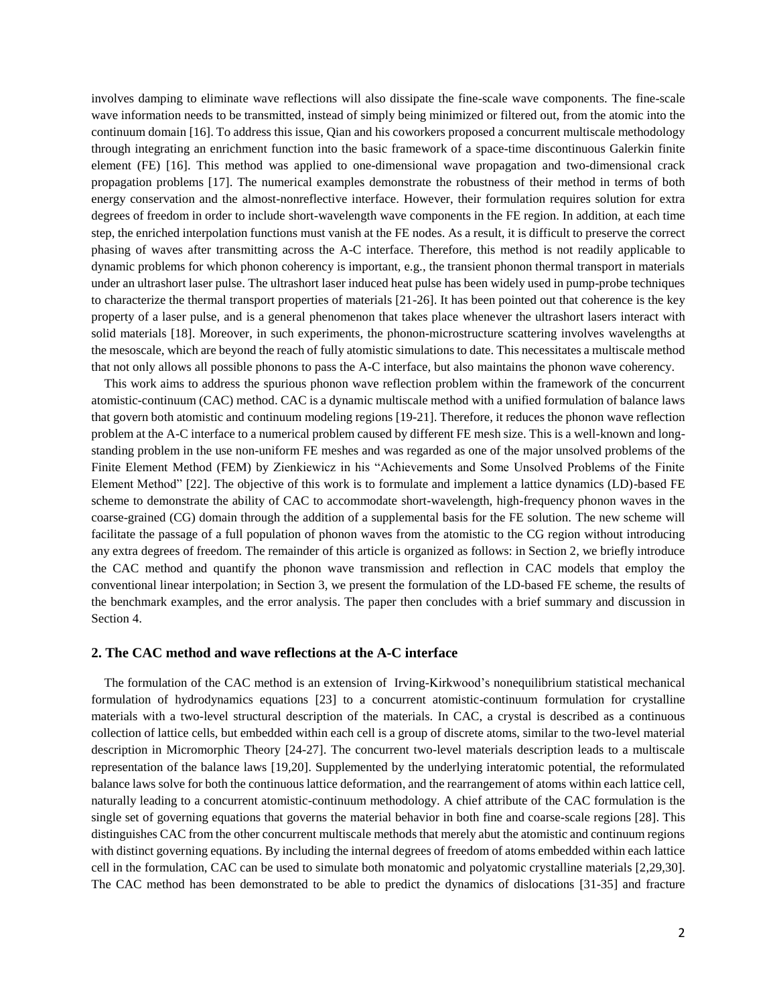involves damping to eliminate wave reflections will also dissipate the fine-scale wave components. The fine-scale wave information needs to be transmitted, instead of simply being minimized or filtered out, from the atomic into the continuum domain [\[16\]](#page-10-11). To address this issue, Qian and his coworkers proposed a concurrent multiscale methodology through integrating an enrichment function into the basic framework of a space-time discontinuous Galerkin finite element (FE) [\[16\]](#page-10-11). This method was applied to one-dimensional wave propagation and two-dimensional crack propagation problems [\[17\]](#page-10-12). The numerical examples demonstrate the robustness of their method in terms of both energy conservation and the almost-nonreflective interface. However, their formulation requires solution for extra degrees of freedom in order to include short-wavelength wave components in the FE region. In addition, at each time step, the enriched interpolation functions must vanish at the FE nodes. As a result, it is difficult to preserve the correct phasing of waves after transmitting across the A-C interface. Therefore, this method is not readily applicable to dynamic problems for which phonon coherency is important, e.g., the transient phonon thermal transport in materials under an ultrashort laser pulse. The ultrashort laser induced heat pulse has been widely used in pump-probe techniques to characterize the thermal transport properties of materials [21-26]. It has been pointed out that coherence is the key property of a laser pulse, and is a general phenomenon that takes place whenever the ultrashort lasers interact with solid materials [\[18\]](#page-10-13). Moreover, in such experiments, the phonon-microstructure scattering involves wavelengths at the mesoscale, which are beyond the reach of fully atomistic simulations to date. This necessitates a multiscale method that not only allows all possible phonons to pass the A-C interface, but also maintains the phonon wave coherency.

This work aims to address the spurious phonon wave reflection problem within the framework of the concurrent atomistic-continuum (CAC) method. CAC is a dynamic multiscale method with a unified formulation of balance laws that govern both atomistic and continuum modeling regions [\[19-21\]](#page-10-14). Therefore, it reduces the phonon wave reflection problem at the A-C interface to a numerical problem caused by different FE mesh size. This is a well-known and longstanding problem in the use non-uniform FE meshes and was regarded as one of the major unsolved problems of the Finite Element Method (FEM) by Zienkiewicz in his "Achievements and Some Unsolved Problems of the Finite Element Method" [\[22\]](#page-10-15). The objective of this work is to formulate and implement a lattice dynamics (LD)-based FE scheme to demonstrate the ability of CAC to accommodate short-wavelength, high-frequency phonon waves in the coarse-grained (CG) domain through the addition of a supplemental basis for the FE solution. The new scheme will facilitate the passage of a full population of phonon waves from the atomistic to the CG region without introducing any extra degrees of freedom. The remainder of this article is organized as follows: in Section 2, we briefly introduce the CAC method and quantify the phonon wave transmission and reflection in CAC models that employ the conventional linear interpolation; in Section 3, we present the formulation of the LD-based FE scheme, the results of the benchmark examples, and the error analysis. The paper then concludes with a brief summary and discussion in Section 4.

#### **2. The CAC method and wave reflections at the A-C interface**

The formulation of the CAC method is an extension of Irving-Kirkwood's nonequilibrium statistical mechanical formulation of hydrodynamics equations [\[23\]](#page-10-16) to a concurrent atomistic-continuum formulation for crystalline materials with a two-level structural description of the materials. In CAC, a crystal is described as a continuous collection of lattice cells, but embedded within each cell is a group of discrete atoms, similar to the two-level material description in Micromorphic Theory [\[24-27\]](#page-10-17). The concurrent two-level materials description leads to a multiscale representation of the balance laws [\[19](#page-10-14)[,20\]](#page-10-18). Supplemented by the underlying interatomic potential, the reformulated balance laws solve for both the continuous lattice deformation, and the rearrangement of atoms within each lattice cell, naturally leading to a concurrent atomistic-continuum methodology. A chief attribute of the CAC formulation is the single set of governing equations that governs the material behavior in both fine and coarse-scale regions [\[28\]](#page-10-19). This distinguishes CAC from the other concurrent multiscale methods that merely abut the atomistic and continuum regions with distinct governing equations. By including the internal degrees of freedom of atoms embedded within each lattice cell in the formulation, CAC can be used to simulate both monatomic and polyatomic crystalline materials [\[2](#page-10-20)[,29](#page-10-21)[,30\]](#page-10-22). The CAC method has been demonstrated to be able to predict the dynamics of dislocations [\[31-35\]](#page-11-0) and fracture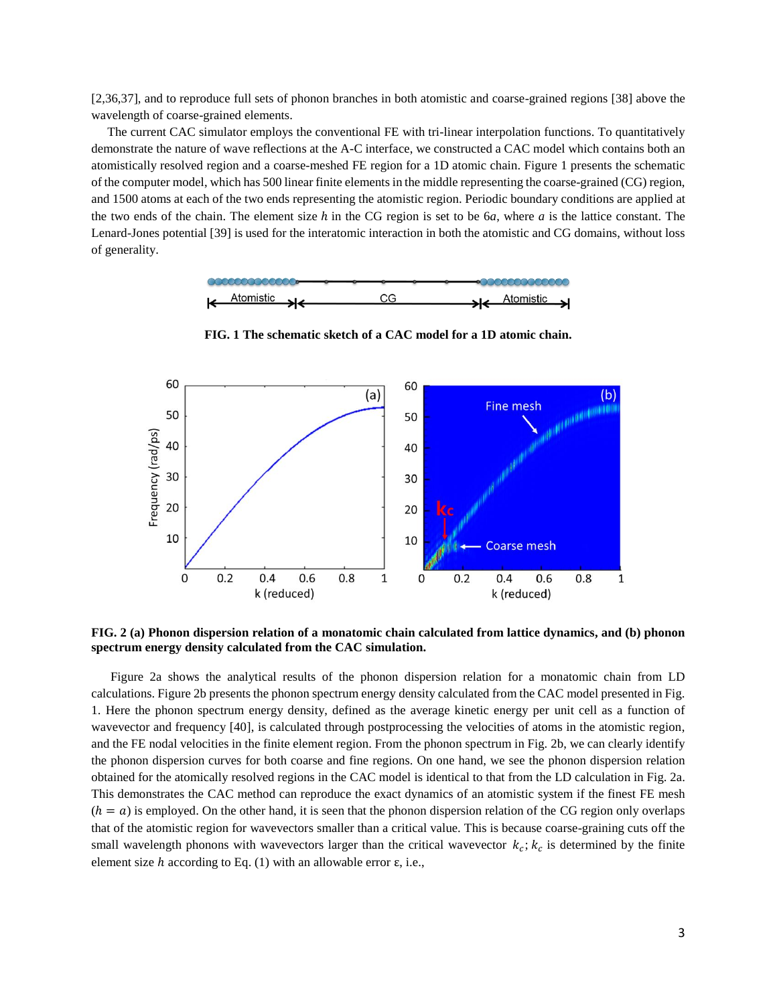[\[2,](#page-10-20)[36](#page-11-1)[,37\]](#page-11-2), and to reproduce full sets of phonon branches in both atomistic and coarse-grained regions [\[38\]](#page-11-3) above the wavelength of coarse-grained elements.

The current CAC simulator employs the conventional FE with tri-linear interpolation functions. To quantitatively demonstrate the nature of wave reflections at the A-C interface, we constructed a CAC model which contains both an atomistically resolved region and a coarse-meshed FE region for a 1D atomic chain. Figure 1 presents the schematic of the computer model, which has 500 linear finite elements in the middle representing the coarse-grained (CG) region, and 1500 atoms at each of the two ends representing the atomistic region. Periodic boundary conditions are applied at the two ends of the chain. The element size ℎ in the CG region is set to be 6*a*, where *a* is the lattice constant. The Lenard-Jones potential [\[39\]](#page-11-4) is used for the interatomic interaction in both the atomistic and CG domains, without loss of generality.



**FIG. 1 The schematic sketch of a CAC model for a 1D atomic chain.**



**FIG. 2 (a) Phonon dispersion relation of a monatomic chain calculated from lattice dynamics, and (b) phonon spectrum energy density calculated from the CAC simulation.** 

 Figure 2a shows the analytical results of the phonon dispersion relation for a monatomic chain from LD calculations. Figure 2b presents the phonon spectrum energy density calculated from the CAC model presented in Fig. 1. Here the phonon spectrum energy density, defined as the average kinetic energy per unit cell as a function of wavevector and frequency [\[40\]](#page-11-5), is calculated through postprocessing the velocities of atoms in the atomistic region, and the FE nodal velocities in the finite element region. From the phonon spectrum in Fig. 2b, we can clearly identify the phonon dispersion curves for both coarse and fine regions. On one hand, we see the phonon dispersion relation obtained for the atomically resolved regions in the CAC model is identical to that from the LD calculation in Fig. 2a. This demonstrates the CAC method can reproduce the exact dynamics of an atomistic system if the finest FE mesh  $(h = a)$  is employed. On the other hand, it is seen that the phonon dispersion relation of the CG region only overlaps that of the atomistic region for wavevectors smaller than a critical value. This is because coarse-graining cuts off the small wavelength phonons with wavevectors larger than the critical wavevector  $k_c$ ;  $k_c$  is determined by the finite element size *h* according to Eq. (1) with an allowable error ε, i.e.,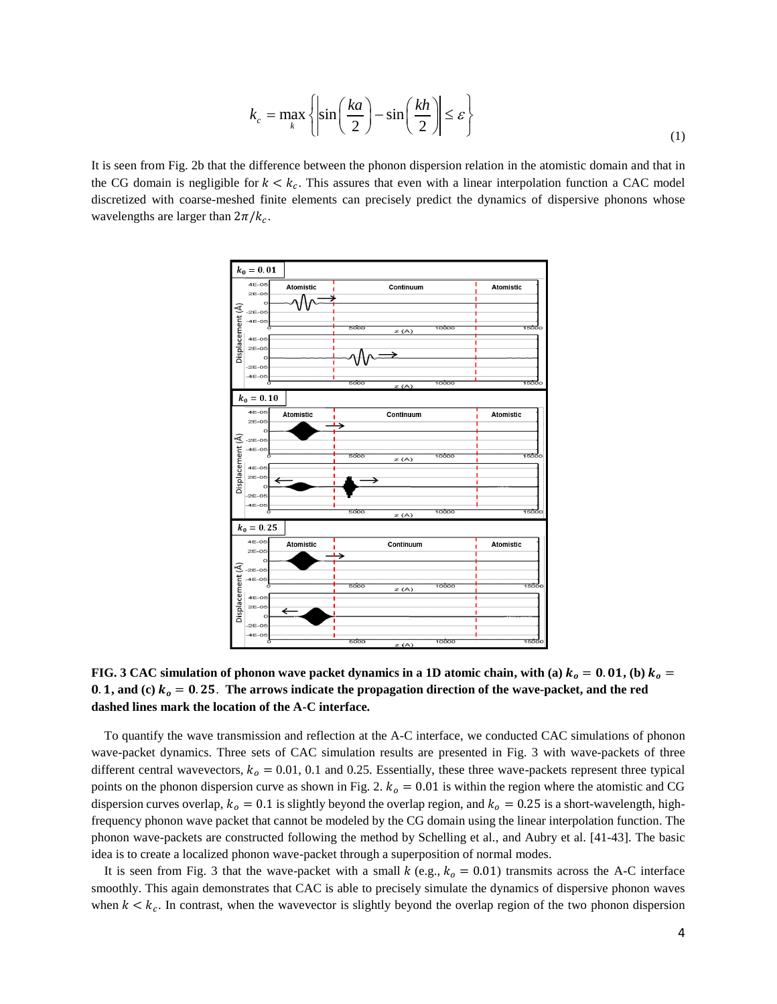$$
k_c = \max_{k} \left\{ \left| \sin\left(\frac{ka}{2}\right) - \sin\left(\frac{kh}{2}\right) \right| \le \varepsilon \right\}
$$
(1)

It is seen from Fig. 2b that the difference between the phonon dispersion relation in the atomistic domain and that in the CG domain is negligible for  $k < k_c$ . This assures that even with a linear interpolation function a CAC model discretized with coarse-meshed finite elements can precisely predict the dynamics of dispersive phonons whose wavelengths are larger than  $2\pi/k_c$ .



## **FIG.** 3 CAC simulation of phonon wave packet dynamics in a 1D atomic chain, with (a)  $k_o = 0.01$ , (b)  $k_o =$ 0. 1, and (c)  $k_o = 0.25$ . The arrows indicate the propagation direction of the wave-packet, and the red **dashed lines mark the location of the A-C interface.**

To quantify the wave transmission and reflection at the A-C interface, we conducted CAC simulations of phonon wave-packet dynamics. Three sets of CAC simulation results are presented in Fig. 3 with wave-packets of three different central wavevectors,  $k<sub>o</sub> = 0.01, 0.1$  and 0.25. Essentially, these three wave-packets represent three typical points on the phonon dispersion curve as shown in Fig. 2.  $k_o = 0.01$  is within the region where the atomistic and CG dispersion curves overlap,  $k_o = 0.1$  is slightly beyond the overlap region, and  $k_o = 0.25$  is a short-wavelength, highfrequency phonon wave packet that cannot be modeled by the CG domain using the linear interpolation function. The phonon wave-packets are constructed following the method by Schelling et al., and Aubry et al. [\[41-43\]](#page-11-6). The basic idea is to create a localized phonon wave-packet through a superposition of normal modes.

It is seen from Fig. 3 that the wave-packet with a small  $k$  (e.g.,  $k_0 = 0.01$ ) transmits across the A-C interface smoothly. This again demonstrates that CAC is able to precisely simulate the dynamics of dispersive phonon waves when  $k < k_c$ . In contrast, when the wavevector is slightly beyond the overlap region of the two phonon dispersion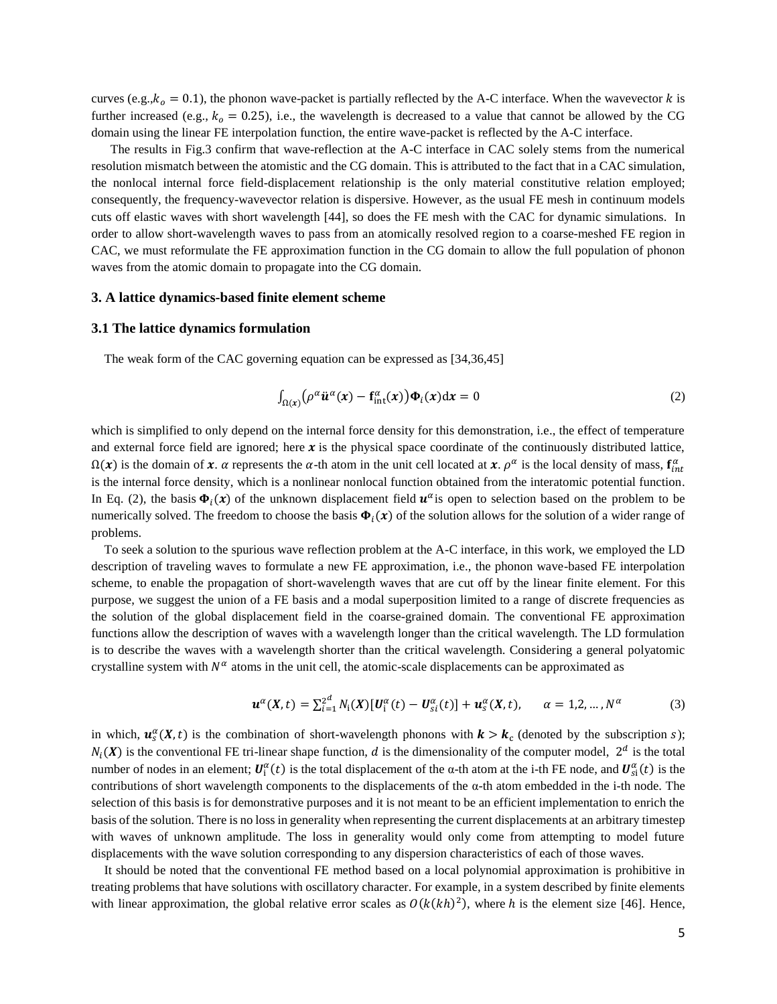curves (e.g.,  $k_o = 0.1$ ), the phonon wave-packet is partially reflected by the A-C interface. When the wavevector k is further increased (e.g.,  $k_o = 0.25$ ), i.e., the wavelength is decreased to a value that cannot be allowed by the CG domain using the linear FE interpolation function, the entire wave-packet is reflected by the A-C interface.

 The results in Fig.3 confirm that wave-reflection at the A-C interface in CAC solely stems from the numerical resolution mismatch between the atomistic and the CG domain. This is attributed to the fact that in a CAC simulation, the nonlocal internal force field-displacement relationship is the only material constitutive relation employed; consequently, the frequency-wavevector relation is dispersive. However, as the usual FE mesh in continuum models cuts off elastic waves with short wavelength [\[44\]](#page-11-7), so does the FE mesh with the CAC for dynamic simulations. In order to allow short-wavelength waves to pass from an atomically resolved region to a coarse-meshed FE region in CAC, we must reformulate the FE approximation function in the CG domain to allow the full population of phonon waves from the atomic domain to propagate into the CG domain.

#### **3. A lattice dynamics-based finite element scheme**

## **3.1 The lattice dynamics formulation**

The weak form of the CAC governing equation can be expressed as [\[34,](#page-11-8)[36](#page-11-1)[,45\]](#page-11-9)

$$
\int_{\Omega(x)} \left( \rho^{\alpha} \ddot{\boldsymbol{u}}^{\alpha}(x) - \mathbf{f}^{\alpha}_{\text{int}}(x) \right) \boldsymbol{\Phi}_i(x) \mathrm{d}x = 0 \tag{2}
$$

which is simplified to only depend on the internal force density for this demonstration, i.e., the effect of temperature and external force field are ignored; here  $x$  is the physical space coordinate of the continuously distributed lattice,  $\Omega(x)$  is the domain of x.  $\alpha$  represents the  $\alpha$ -th atom in the unit cell located at x.  $\rho^{\alpha}$  is the local density of mass,  $f_{int}^{\alpha}$ is the internal force density, which is a nonlinear nonlocal function obtained from the interatomic potential function. In Eq. (2), the basis  $\Phi_i(x)$  of the unknown displacement field  $u^{\alpha}$  is open to selection based on the problem to be numerically solved. The freedom to choose the basis  $\Phi_i(x)$  of the solution allows for the solution of a wider range of problems.

To seek a solution to the spurious wave reflection problem at the A-C interface, in this work, we employed the LD description of traveling waves to formulate a new FE approximation, i.e., the phonon wave-based FE interpolation scheme, to enable the propagation of short-wavelength waves that are cut off by the linear finite element. For this purpose, we suggest the union of a FE basis and a modal superposition limited to a range of discrete frequencies as the solution of the global displacement field in the coarse-grained domain. The conventional FE approximation functions allow the description of waves with a wavelength longer than the critical wavelength. The LD formulation is to describe the waves with a wavelength shorter than the critical wavelength. Considering a general polyatomic crystalline system with  $N^{\alpha}$  atoms in the unit cell, the atomic-scale displacements can be approximated as

$$
\boldsymbol{u}^{\alpha}(X,t) = \sum_{i=1}^{2^{d}} N_{i}(X) [\boldsymbol{U}_{i}^{\alpha}(t) - \boldsymbol{U}_{Si}^{\alpha}(t)] + \boldsymbol{u}_{s}^{\alpha}(X,t), \qquad \alpha = 1,2,...,N^{\alpha}
$$
 (3)

in which,  $u_s^{\alpha}(X, t)$  is the combination of short-wavelength phonons with  $k > k_c$  (denoted by the subscription s);  $N_i(X)$  is the conventional FE tri-linear shape function, d is the dimensionality of the computer model,  $2^d$  is the total number of nodes in an element;  $U_i^{\alpha}(t)$  is the total displacement of the  $\alpha$ -th atom at the i-th FE node, and  $U_{si}^{\alpha}(t)$  is the contributions of short wavelength components to the displacements of the α-th atom embedded in the i-th node. The selection of this basis is for demonstrative purposes and it is not meant to be an efficient implementation to enrich the basis of the solution. There is no loss in generality when representing the current displacements at an arbitrary timestep with waves of unknown amplitude. The loss in generality would only come from attempting to model future displacements with the wave solution corresponding to any dispersion characteristics of each of those waves.

It should be noted that the conventional FE method based on a local polynomial approximation is prohibitive in treating problems that have solutions with oscillatory character. For example, in a system described by finite elements with linear approximation, the global relative error scales as  $O(k(kh)^2)$ , where h is the element size [\[46\]](#page-11-10). Hence,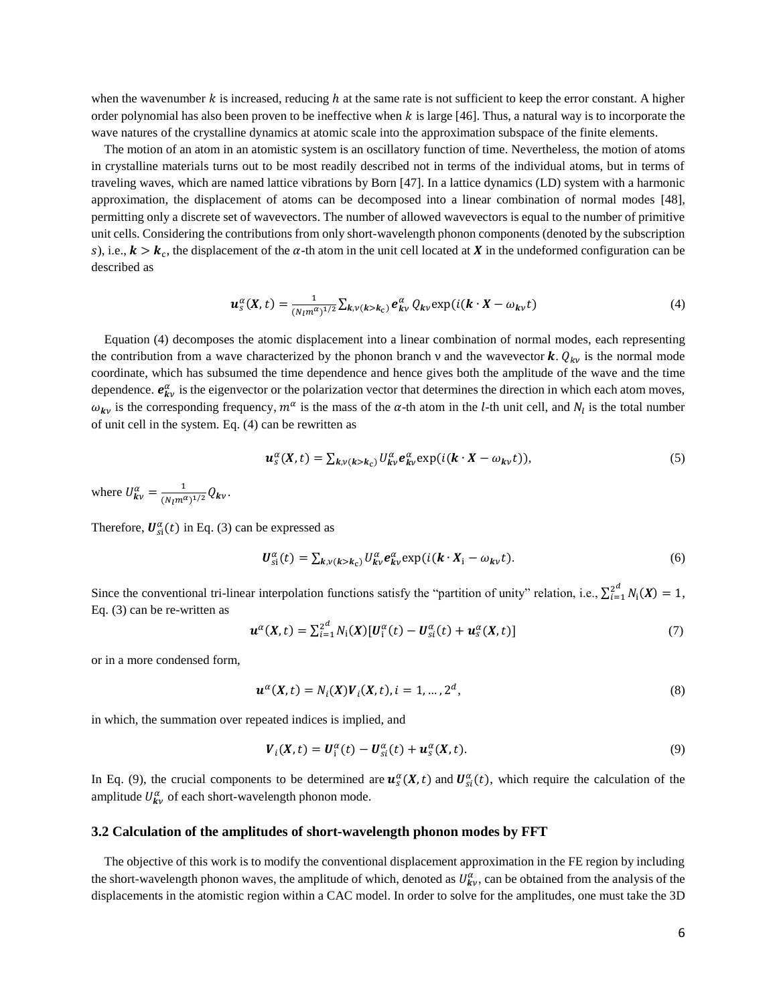when the wavenumber  $k$  is increased, reducing  $h$  at the same rate is not sufficient to keep the error constant. A higher order polynomial has also been proven to be ineffective when k is large [\[46\]](#page-11-10). Thus, a natural way is to incorporate the wave natures of the crystalline dynamics at atomic scale into the approximation subspace of the finite elements.

The motion of an atom in an atomistic system is an oscillatory function of time. Nevertheless, the motion of atoms in crystalline materials turns out to be most readily described not in terms of the individual atoms, but in terms of traveling waves, which are named lattice vibrations by Born [\[47\]](#page-11-11). In a lattice dynamics (LD) system with a harmonic approximation, the displacement of atoms can be decomposed into a linear combination of normal modes [\[48\]](#page-11-12), permitting only a discrete set of wavevectors. The number of allowed wavevectors is equal to the number of primitive unit cells. Considering the contributions from only short-wavelength phonon components (denoted by the subscription s), i.e.,  $k > k_c$ , the displacement of the  $\alpha$ -th atom in the unit cell located at X in the undeformed configuration can be described as

$$
\boldsymbol{u}_{s}^{\alpha}(\boldsymbol{X},t) = \frac{1}{(N_{l}m^{\alpha})^{1/2}} \sum_{\boldsymbol{k},\nu(\boldsymbol{k}>\boldsymbol{k}_{c})} \boldsymbol{e}_{\boldsymbol{k}\nu}^{\alpha} Q_{\boldsymbol{k}\nu} \exp(i(\boldsymbol{k}\cdot\boldsymbol{X}-\omega_{\boldsymbol{k}\nu}t))
$$
(4)

Equation (4) decomposes the atomic displacement into a linear combination of normal modes, each representing the contribution from a wave characterized by the phonon branch v and the wavevector **k**.  $Q_{kv}$  is the normal mode coordinate, which has subsumed the time dependence and hence gives both the amplitude of the wave and the time dependence.  $e_{kv}^{\alpha}$  is the eigenvector or the polarization vector that determines the direction in which each atom moves,  $\omega_{kv}$  is the corresponding frequency,  $m^{\alpha}$  is the mass of the  $\alpha$ -th atom in the *l*-th unit cell, and  $N_l$  is the total number of unit cell in the system. Eq. (4) can be rewritten as

$$
\boldsymbol{u}_{s}^{\alpha}(X,t)=\sum_{k,v(k>k_{c})}U_{kv}^{\alpha}e_{kv}^{\alpha}\exp(i(\boldsymbol{k}\cdot\boldsymbol{X}-\omega_{kv}t)),
$$
\n(5)

where  $U_{k\upsilon}^{\alpha} = \frac{1}{(N_{\upsilon}m^{\alpha})}$  $\frac{1}{(N_l m^{\alpha})^{1/2}} Q_{kv}.$ 

Therefore,  $U_{si}^{\alpha}(t)$  in Eq. (3) can be expressed as

$$
\boldsymbol{U}_{si}^{\alpha}(t) = \sum_{\boldsymbol{k},\nu(\boldsymbol{k}>\boldsymbol{k}_{c})} U_{\boldsymbol{k}\nu}^{\alpha} \boldsymbol{e}_{\boldsymbol{k}\nu}^{\alpha} \exp(i(\boldsymbol{k}\cdot\boldsymbol{X}_{i}-\omega_{\boldsymbol{k}\nu}t)).
$$
\n(6)

Since the conventional tri-linear interpolation functions satisfy the "partition of unity" relation, i.e.,  $\sum_{i=1}^{2^d} N_i(X) = 1$ , Eq. (3) can be re-written as

$$
\boldsymbol{u}^{\alpha}(X,t) = \sum_{i=1}^{2^{d}} N_{i}(X) [\boldsymbol{U}_{i}^{\alpha}(t) - \boldsymbol{U}_{si}^{\alpha}(t) + \boldsymbol{u}_{s}^{\alpha}(X,t)] \qquad (7)
$$

or in a more condensed form,

$$
\mathbf{u}^{\alpha}(X,t) = N_i(X)V_i(X,t), i = 1, ..., 2^d,
$$
\n(8)

in which, the summation over repeated indices is implied, and

$$
\boldsymbol{V}_i(\boldsymbol{X},t) = \boldsymbol{U}_i^{\alpha}(t) - \boldsymbol{U}_{si}^{\alpha}(t) + \boldsymbol{u}_s^{\alpha}(\boldsymbol{X},t). \tag{9}
$$

In Eq. (9), the crucial components to be determined are  $u_s^{\alpha}(X,t)$  and  $u_{si}^{\alpha}(t)$ , which require the calculation of the amplitude  $U_{k\nu}^{\alpha}$  of each short-wavelength phonon mode.

#### **3.2 Calculation of the amplitudes of short-wavelength phonon modes by FFT**

The objective of this work is to modify the conventional displacement approximation in the FE region by including the short-wavelength phonon waves, the amplitude of which, denoted as  $U_{kv}^{\alpha}$ , can be obtained from the analysis of the displacements in the atomistic region within a CAC model. In order to solve for the amplitudes, one must take the 3D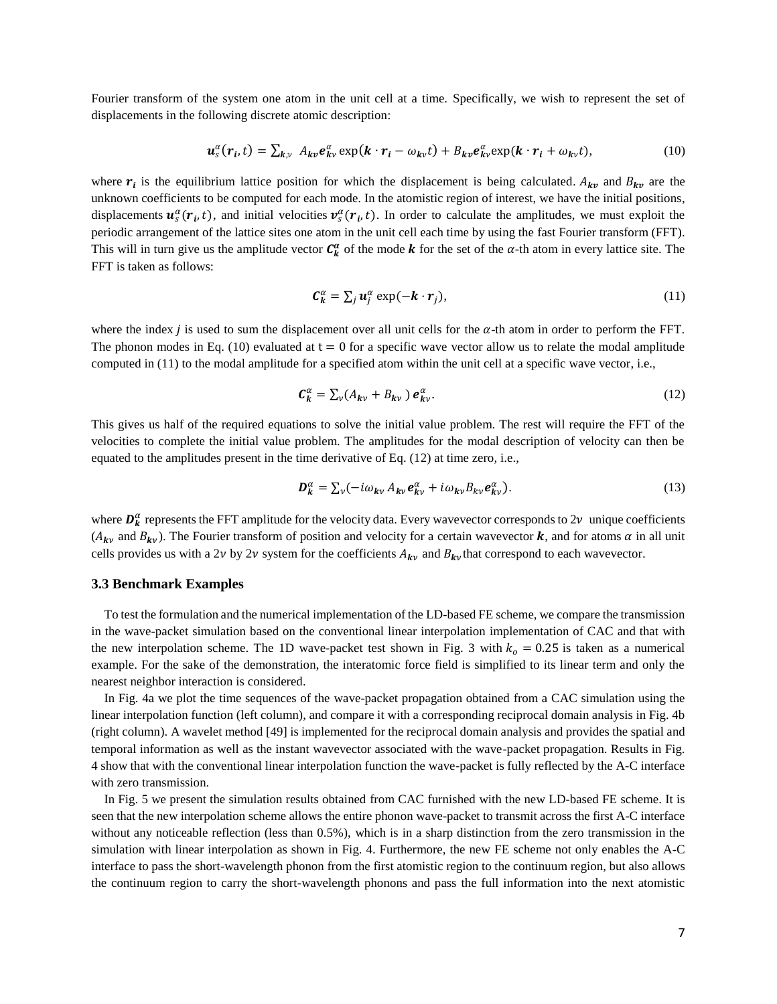Fourier transform of the system one atom in the unit cell at a time. Specifically, we wish to represent the set of displacements in the following discrete atomic description:

$$
\mathbf{u}_{s}^{\alpha}(\mathbf{r}_{i},t)=\sum_{k,v} A_{kv} e_{kv}^{\alpha} \exp(\mathbf{k}\cdot\mathbf{r}_{i}-\omega_{kv}t)+B_{kv} e_{kv}^{\alpha} \exp(\mathbf{k}\cdot\mathbf{r}_{i}+\omega_{kv}t),
$$
\n(10)

where  $r_i$  is the equilibrium lattice position for which the displacement is being calculated.  $A_{kv}$  and  $B_{kv}$  are the unknown coefficients to be computed for each mode. In the atomistic region of interest, we have the initial positions, displacements  $u_s^{\alpha}(r_i, t)$ , and initial velocities  $v_s^{\alpha}(r_i, t)$ . In order to calculate the amplitudes, we must exploit the periodic arrangement of the lattice sites one atom in the unit cell each time by using the fast Fourier transform (FFT). This will in turn give us the amplitude vector  $C_k^{\alpha}$  of the mode **k** for the set of the  $\alpha$ -th atom in every lattice site. The FFT is taken as follows:

$$
\mathcal{C}_{\mathbf{k}}^{\alpha} = \sum_{j} \mathbf{u}_{j}^{\alpha} \exp(-\mathbf{k} \cdot \mathbf{r}_{j}), \qquad (11)
$$

where the index *i* is used to sum the displacement over all unit cells for the  $\alpha$ -th atom in order to perform the FFT. The phonon modes in Eq. (10) evaluated at  $t = 0$  for a specific wave vector allow us to relate the modal amplitude computed in (11) to the modal amplitude for a specified atom within the unit cell at a specific wave vector, i.e.,

$$
\mathcal{C}_k^{\alpha} = \sum_{v} (A_{kv} + B_{kv}) e_{kv}^{\alpha}.
$$
 (12)

This gives us half of the required equations to solve the initial value problem. The rest will require the FFT of the velocities to complete the initial value problem. The amplitudes for the modal description of velocity can then be equated to the amplitudes present in the time derivative of Eq. (12) at time zero, i.e.,

$$
\boldsymbol{D}_{\boldsymbol{k}}^{\alpha} = \sum_{\nu} (-i\omega_{\boldsymbol{k}\nu} A_{\boldsymbol{k}\nu} \boldsymbol{e}_{\boldsymbol{k}\nu}^{\alpha} + i\omega_{\boldsymbol{k}\nu} B_{\boldsymbol{k}\nu} \boldsymbol{e}_{\boldsymbol{k}\nu}^{\alpha}). \tag{13}
$$

where  $D_k^{\alpha}$  represents the FFT amplitude for the velocity data. Every wavevector corresponds to  $2\nu$  unique coefficients  $(A_{kv}$  and  $B_{kv}$ ). The Fourier transform of position and velocity for a certain wavevector **k**, and for atoms  $\alpha$  in all unit cells provides us with a 2v by 2v system for the coefficients  $A_{kv}$  and  $B_{kv}$  that correspond to each wavevector.

## **3.3 Benchmark Examples**

To test the formulation and the numerical implementation of the LD-based FE scheme, we compare the transmission in the wave-packet simulation based on the conventional linear interpolation implementation of CAC and that with the new interpolation scheme. The 1D wave-packet test shown in Fig. 3 with  $k_o = 0.25$  is taken as a numerical example. For the sake of the demonstration, the interatomic force field is simplified to its linear term and only the nearest neighbor interaction is considered.

In Fig. 4a we plot the time sequences of the wave-packet propagation obtained from a CAC simulation using the linear interpolation function (left column), and compare it with a corresponding reciprocal domain analysis in Fig. 4b (right column). A wavelet method [\[49\]](#page-11-13) is implemented for the reciprocal domain analysis and provides the spatial and temporal information as well as the instant wavevector associated with the wave-packet propagation. Results in Fig. 4 show that with the conventional linear interpolation function the wave-packet is fully reflected by the A-C interface with zero transmission.

In Fig. 5 we present the simulation results obtained from CAC furnished with the new LD-based FE scheme. It is seen that the new interpolation scheme allows the entire phonon wave-packet to transmit across the first A-C interface without any noticeable reflection (less than 0.5%), which is in a sharp distinction from the zero transmission in the simulation with linear interpolation as shown in Fig. 4. Furthermore, the new FE scheme not only enables the A-C interface to pass the short-wavelength phonon from the first atomistic region to the continuum region, but also allows the continuum region to carry the short-wavelength phonons and pass the full information into the next atomistic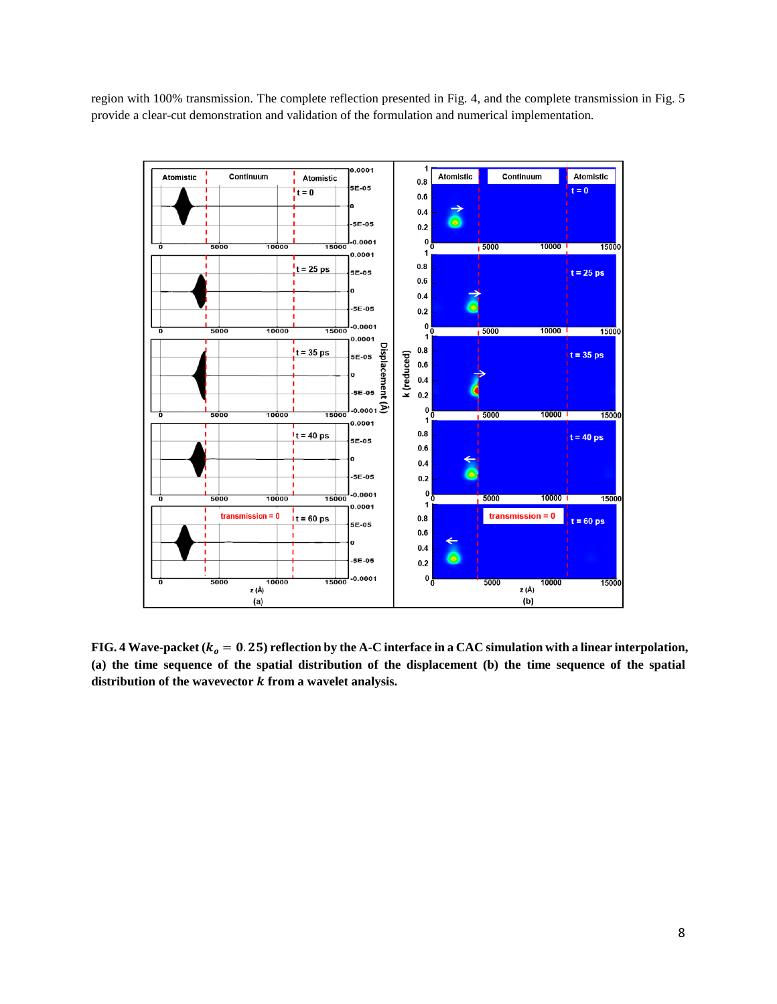region with 100% transmission. The complete reflection presented in Fig. 4, and the complete transmission in Fig. 5 provide a clear-cut demonstration and validation of the formulation and numerical implementation.



**FIG. 4** Wave-packet ( $k_o = 0.25$ ) reflection by the A-C interface in a CAC simulation with a linear interpolation, **(a) the time sequence of the spatial distribution of the displacement (b) the time sequence of the spatial distribution of the wavevector from a wavelet analysis.**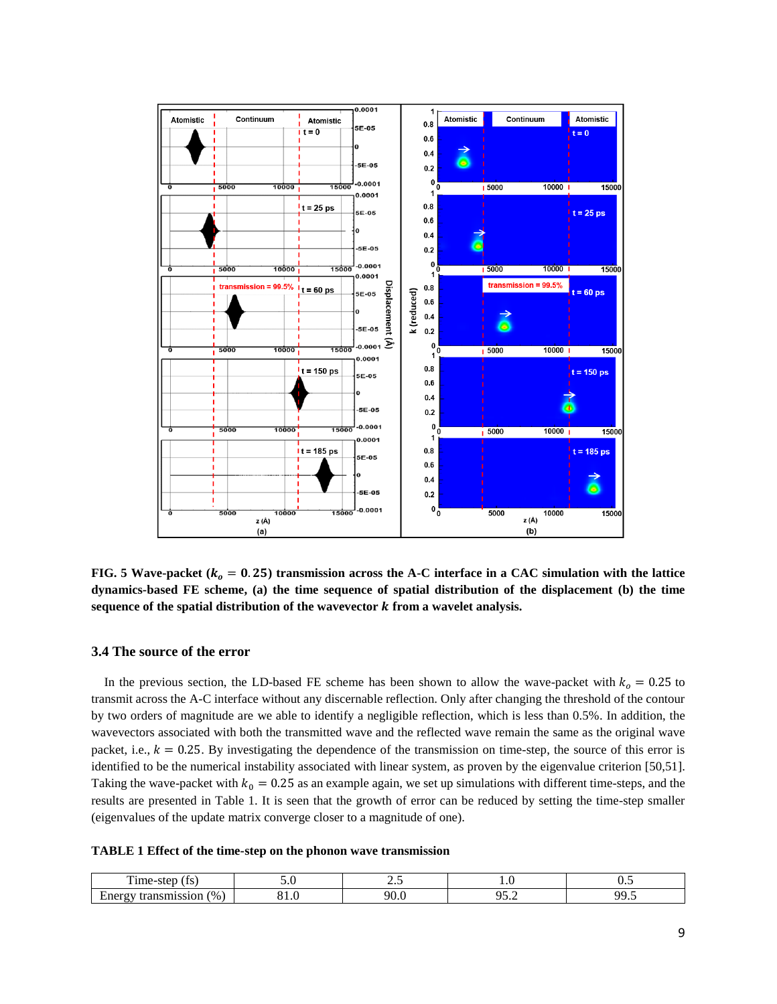

**FIG. 5** Wave-packet ( $k_o = 0.25$ ) transmission across the A-C interface in a CAC simulation with the lattice **dynamics-based FE scheme, (a) the time sequence of spatial distribution of the displacement (b) the time sequence of the spatial distribution of the wavevector from a wavelet analysis.**

## **3.4 The source of the error**

In the previous section, the LD-based FE scheme has been shown to allow the wave-packet with  $k_o = 0.25$  to transmit across the A-C interface without any discernable reflection. Only after changing the threshold of the contour by two orders of magnitude are we able to identify a negligible reflection, which is less than 0.5%. In addition, the wavevectors associated with both the transmitted wave and the reflected wave remain the same as the original wave packet, i.e.,  $k = 0.25$ . By investigating the dependence of the transmission on time-step, the source of this error is identified to be the numerical instability associated with linear system, as proven by the eigenvalue criterion [\[50](#page-11-14)[,51\]](#page-11-15). Taking the wave-packet with  $k_0 = 0.25$  as an example again, we set up simulations with different time-steps, and the results are presented in Table 1. It is seen that the growth of error can be reduced by setting the time-step smaller (eigenvalues of the update matrix converge closer to a magnitude of one).

**TABLE 1 Effect of the time-step on the phonon wave transmission**

| ×.<br>$\mathbf{r}$<br>-une-<br>้วน<br>. |                      | $\cdots$                             | $\cdots$    | ິ                    |
|-----------------------------------------|----------------------|--------------------------------------|-------------|----------------------|
| $\frac{1}{2}$<br>ISMISSION<br>-         | $\ddot{\phantom{0}}$ | Q()<br>$\mathbf{v} \cdot \mathbf{v}$ | - 14<br>ے . | o٥<br><u>, . , .</u> |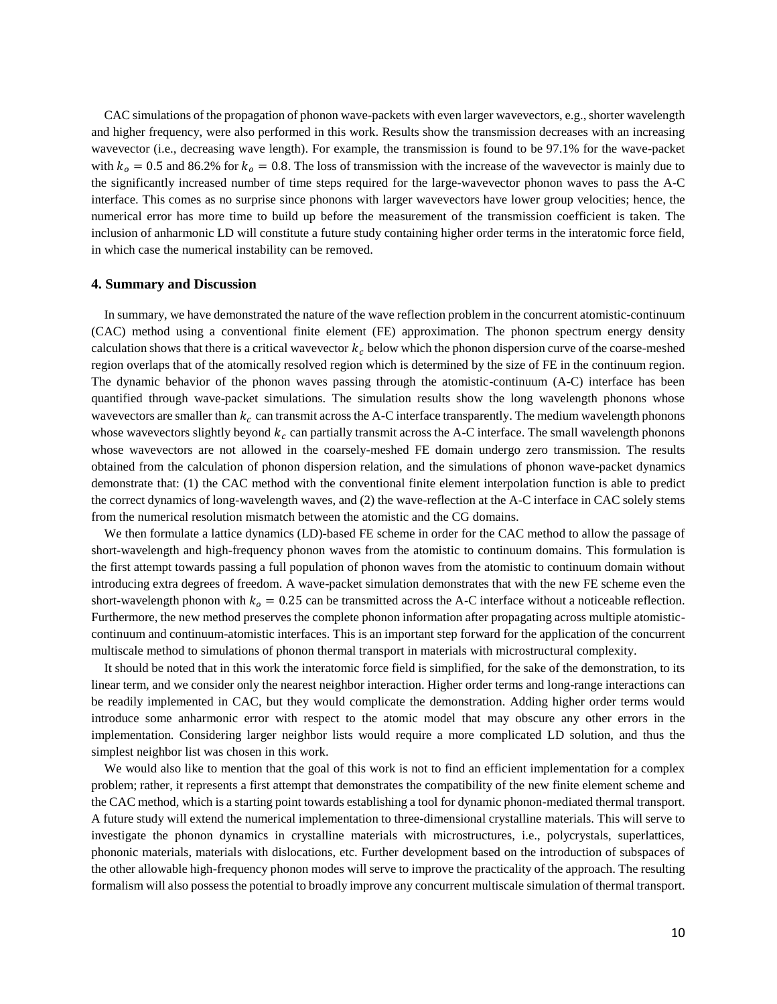CAC simulations of the propagation of phonon wave-packets with even larger wavevectors, e.g., shorter wavelength and higher frequency, were also performed in this work. Results show the transmission decreases with an increasing wavevector (i.e., decreasing wave length). For example, the transmission is found to be 97.1% for the wave-packet with  $k_o = 0.5$  and 86.2% for  $k_o = 0.8$ . The loss of transmission with the increase of the wavevector is mainly due to the significantly increased number of time steps required for the large-wavevector phonon waves to pass the A-C interface. This comes as no surprise since phonons with larger wavevectors have lower group velocities; hence, the numerical error has more time to build up before the measurement of the transmission coefficient is taken. The inclusion of anharmonic LD will constitute a future study containing higher order terms in the interatomic force field, in which case the numerical instability can be removed.

### **4. Summary and Discussion**

In summary, we have demonstrated the nature of the wave reflection problem in the concurrent atomistic-continuum (CAC) method using a conventional finite element (FE) approximation. The phonon spectrum energy density calculation shows that there is a critical wavevector  $k<sub>c</sub>$  below which the phonon dispersion curve of the coarse-meshed region overlaps that of the atomically resolved region which is determined by the size of FE in the continuum region. The dynamic behavior of the phonon waves passing through the atomistic-continuum (A-C) interface has been quantified through wave-packet simulations. The simulation results show the long wavelength phonons whose wavevectors are smaller than  $k_c$  can transmit across the A-C interface transparently. The medium wavelength phonons whose wavevectors slightly beyond  $k_c$  can partially transmit across the A-C interface. The small wavelength phonons whose wavevectors are not allowed in the coarsely-meshed FE domain undergo zero transmission. The results obtained from the calculation of phonon dispersion relation, and the simulations of phonon wave-packet dynamics demonstrate that: (1) the CAC method with the conventional finite element interpolation function is able to predict the correct dynamics of long-wavelength waves, and (2) the wave-reflection at the A-C interface in CAC solely stems from the numerical resolution mismatch between the atomistic and the CG domains.

We then formulate a lattice dynamics (LD)-based FE scheme in order for the CAC method to allow the passage of short-wavelength and high-frequency phonon waves from the atomistic to continuum domains. This formulation is the first attempt towards passing a full population of phonon waves from the atomistic to continuum domain without introducing extra degrees of freedom. A wave-packet simulation demonstrates that with the new FE scheme even the short-wavelength phonon with  $k_0 = 0.25$  can be transmitted across the A-C interface without a noticeable reflection. Furthermore, the new method preserves the complete phonon information after propagating across multiple atomisticcontinuum and continuum-atomistic interfaces. This is an important step forward for the application of the concurrent multiscale method to simulations of phonon thermal transport in materials with microstructural complexity.

It should be noted that in this work the interatomic force field is simplified, for the sake of the demonstration, to its linear term, and we consider only the nearest neighbor interaction. Higher order terms and long-range interactions can be readily implemented in CAC, but they would complicate the demonstration. Adding higher order terms would introduce some anharmonic error with respect to the atomic model that may obscure any other errors in the implementation. Considering larger neighbor lists would require a more complicated LD solution, and thus the simplest neighbor list was chosen in this work.

We would also like to mention that the goal of this work is not to find an efficient implementation for a complex problem; rather, it represents a first attempt that demonstrates the compatibility of the new finite element scheme and the CAC method, which is a starting point towards establishing a tool for dynamic phonon-mediated thermal transport. A future study will extend the numerical implementation to three-dimensional crystalline materials. This will serve to investigate the phonon dynamics in crystalline materials with microstructures, i.e., polycrystals, superlattices, phononic materials, materials with dislocations, etc. Further development based on the introduction of subspaces of the other allowable high-frequency phonon modes will serve to improve the practicality of the approach. The resulting formalism will also possess the potential to broadly improve any concurrent multiscale simulation of thermal transport.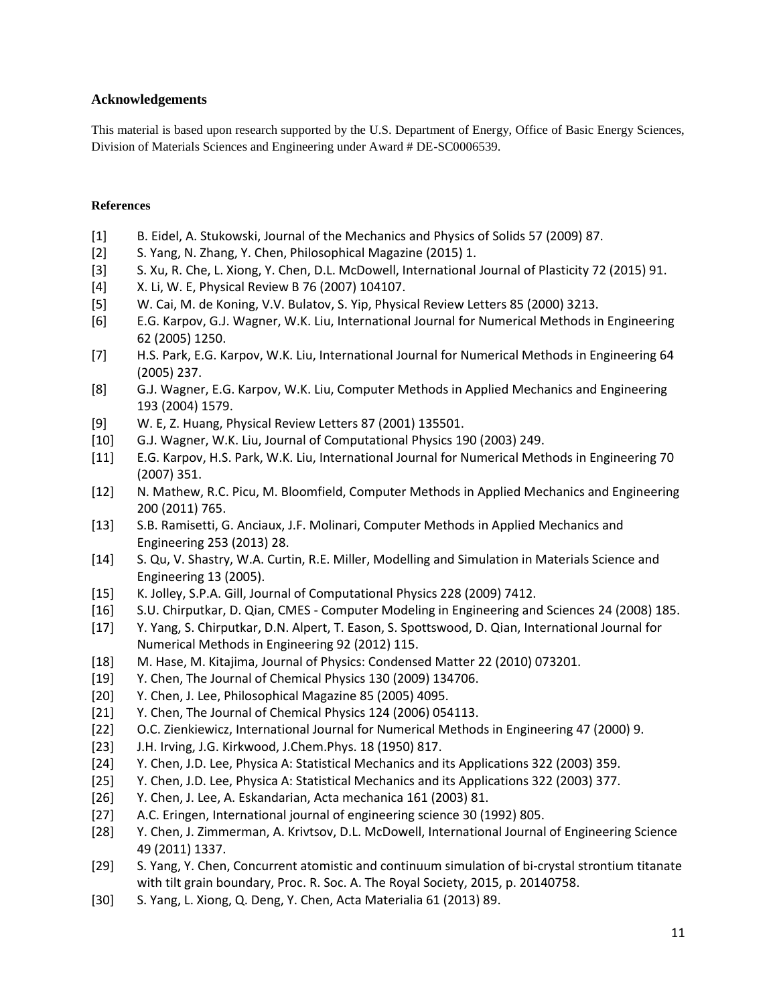## **Acknowledgements**

This material is based upon research supported by the U.S. Department of Energy, Office of Basic Energy Sciences, Division of Materials Sciences and Engineering under Award # DE-SC0006539.

## **References**

- <span id="page-10-0"></span>[1] B. Eidel, A. Stukowski, Journal of the Mechanics and Physics of Solids 57 (2009) 87.
- <span id="page-10-20"></span>[2] S. Yang, N. Zhang, Y. Chen, Philosophical Magazine (2015) 1.
- [3] S. Xu, R. Che, L. Xiong, Y. Chen, D.L. McDowell, International Journal of Plasticity 72 (2015) 91.
- <span id="page-10-1"></span>[4] X. Li, W. E, Physical Review B 76 (2007) 104107.
- <span id="page-10-2"></span>[5] W. Cai, M. de Koning, V.V. Bulatov, S. Yip, Physical Review Letters 85 (2000) 3213.
- <span id="page-10-4"></span>[6] E.G. Karpov, G.J. Wagner, W.K. Liu, International Journal for Numerical Methods in Engineering 62 (2005) 1250.
- [7] H.S. Park, E.G. Karpov, W.K. Liu, International Journal for Numerical Methods in Engineering 64 (2005) 237.
- [8] G.J. Wagner, E.G. Karpov, W.K. Liu, Computer Methods in Applied Mechanics and Engineering 193 (2004) 1579.
- <span id="page-10-6"></span>[9] W. E, Z. Huang, Physical Review Letters 87 (2001) 135501.
- <span id="page-10-3"></span>[10] G.J. Wagner, W.K. Liu, Journal of Computational Physics 190 (2003) 249.
- <span id="page-10-5"></span>[11] E.G. Karpov, H.S. Park, W.K. Liu, International Journal for Numerical Methods in Engineering 70 (2007) 351.
- <span id="page-10-7"></span>[12] N. Mathew, R.C. Picu, M. Bloomfield, Computer Methods in Applied Mechanics and Engineering 200 (2011) 765.
- <span id="page-10-8"></span>[13] S.B. Ramisetti, G. Anciaux, J.F. Molinari, Computer Methods in Applied Mechanics and Engineering 253 (2013) 28.
- <span id="page-10-9"></span>[14] S. Qu, V. Shastry, W.A. Curtin, R.E. Miller, Modelling and Simulation in Materials Science and Engineering 13 (2005).
- <span id="page-10-10"></span>[15] K. Jolley, S.P.A. Gill, Journal of Computational Physics 228 (2009) 7412.
- <span id="page-10-11"></span>[16] S.U. Chirputkar, D. Qian, CMES - Computer Modeling in Engineering and Sciences 24 (2008) 185.
- <span id="page-10-12"></span>[17] Y. Yang, S. Chirputkar, D.N. Alpert, T. Eason, S. Spottswood, D. Qian, International Journal for Numerical Methods in Engineering 92 (2012) 115.
- <span id="page-10-13"></span>[18] M. Hase, M. Kitajima, Journal of Physics: Condensed Matter 22 (2010) 073201.
- <span id="page-10-14"></span>[19] Y. Chen, The Journal of Chemical Physics 130 (2009) 134706.
- <span id="page-10-18"></span>[20] Y. Chen, J. Lee, Philosophical Magazine 85 (2005) 4095.
- [21] Y. Chen, The Journal of Chemical Physics 124 (2006) 054113.
- <span id="page-10-15"></span>[22] O.C. Zienkiewicz, International Journal for Numerical Methods in Engineering 47 (2000) 9.
- <span id="page-10-16"></span>[23] J.H. Irving, J.G. Kirkwood, J.Chem.Phys. 18 (1950) 817.
- <span id="page-10-17"></span>[24] Y. Chen, J.D. Lee, Physica A: Statistical Mechanics and its Applications 322 (2003) 359.
- [25] Y. Chen, J.D. Lee, Physica A: Statistical Mechanics and its Applications 322 (2003) 377.
- [26] Y. Chen, J. Lee, A. Eskandarian, Acta mechanica 161 (2003) 81.
- [27] A.C. Eringen, International journal of engineering science 30 (1992) 805.
- <span id="page-10-19"></span>[28] Y. Chen, J. Zimmerman, A. Krivtsov, D.L. McDowell, International Journal of Engineering Science 49 (2011) 1337.
- <span id="page-10-21"></span>[29] S. Yang, Y. Chen, Concurrent atomistic and continuum simulation of bi-crystal strontium titanate with tilt grain boundary, Proc. R. Soc. A. The Royal Society, 2015, p. 20140758.
- <span id="page-10-22"></span>[30] S. Yang, L. Xiong, Q. Deng, Y. Chen, Acta Materialia 61 (2013) 89.